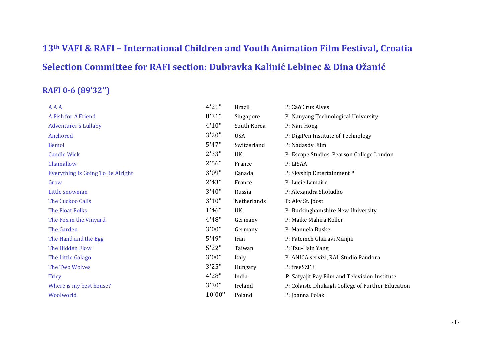# **13th VAFI & RAFI – International Children and Youth Animation Film Festival, Croatia Selection Committee for RAFI section: Dubravka Kalinić Lebinec & Dina Ožanić**

#### **RAFI 0-6 (89'32'')**

| <b>AAA</b>                        | 4'21'' | <b>Brazil</b> | P: Caó Cruz Alves                                 |
|-----------------------------------|--------|---------------|---------------------------------------------------|
| A Fish for A Friend               | 8'31"  | Singapore     | P: Nanyang Technological University               |
| <b>Adventurer's Lullaby</b>       | 4'10'' | South Korea   | P: Nari Hong                                      |
| Anchored                          | 3'20'' | <b>USA</b>    | P: DigiPen Institute of Technology                |
| <b>Bemol</b>                      | 5'47'' | Switzerland   | P: Nadasdy Film                                   |
| <b>Candle Wick</b>                | 2'33"  | UK            | P: Escape Studios, Pearson College London         |
| Chamallow                         | 2'56"  | France        | P: LISAA                                          |
| Everything Is Going To Be Alright | 3'09"  | Canada        | P: Skyship Entertainment™                         |
| Grow                              | 2'43'' | France        | P: Lucie Lemaire                                  |
| Little snowman                    | 3'40'' | Russia        | P: Alexandra Sholudko                             |
| The Cuckoo Calls                  | 3'10'' | Netherlands   | P: Akv St. Joost                                  |
| <b>The Float Folks</b>            | 1'46'' | UK            | P: Buckinghamshire New University                 |
| The Fox in the Vinyard            | 4'48"  | Germany       | P: Maike Mahira Koller                            |
| The Garden                        | 3'00"  | Germany       | P: Manuela Buske                                  |
| The Hand and the Egg              | 5'49"  | Iran          | P: Fatemeh Gharavi Manjili                        |
| The Hidden Flow                   | 5'22"  | Taiwan        | P: Tzu-Hsin Yang                                  |
| The Little Galago                 | 3'00"  | Italy         | P: ANICA servizi, RAI, Studio Pandora             |
| The Two Wolves                    | 3'25"  | Hungary       | P: freeSZFE                                       |
| <b>Tricy</b>                      | 4'28"  | India         | P: Satyajit Ray Film and Television Institute     |
| Where is my best house?           | 3'30"  | Ireland       | P: Colaiste Dhulaigh College of Further Education |
| Woolworld                         | 10'00" | Poland        | P: Joanna Polak                                   |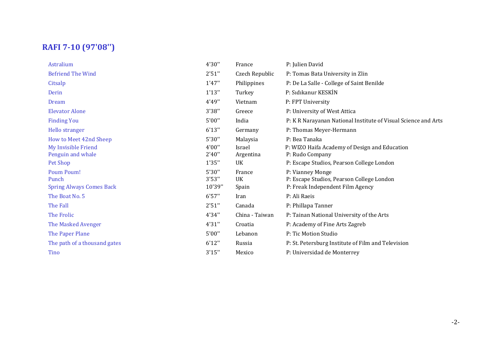### **RAFI 7-10 (97'08'')**

| 4'30"                     | France                                       | P: Julien David                                                                                                                |
|---------------------------|----------------------------------------------|--------------------------------------------------------------------------------------------------------------------------------|
| 2'51''                    | Czech Republic                               | P: Tomas Bata University in Zlin                                                                                               |
| 1'47''                    | Philippines                                  | P: De La Salle - College of Saint Benilde                                                                                      |
| 1'13''                    | Turkey                                       | P: Sidikanur KESKİN                                                                                                            |
| 4'49"                     | Vietnam                                      | P: FPT University                                                                                                              |
| 3'38"                     | Greece                                       | P: University of West Attica                                                                                                   |
| 5'00"                     | India                                        | P: K R Narayanan National Institute of Visual Science and Arts                                                                 |
| 6'13''                    | Germany                                      | P: Thomas Meyer-Hermann                                                                                                        |
| 5'30"<br>4'00"<br>2'40''  | Malaysia<br>Israel<br>Argentina<br><b>UK</b> | P: Bea Tanaka<br>P: WIZO Haifa Academy of Design and Education<br>P: Rudo Company<br>P: Escape Studios, Pearson College London |
| 5'30"<br>3'53''<br>10'39" | France<br><b>UK</b><br>Spain                 | P: Vianney Monge<br>P: Escape Studios, Pearson College London<br>P: Freak Independent Film Agency                              |
| 6'57''                    | Iran                                         | P: Ali Raeis                                                                                                                   |
| 2'51''                    | Canada                                       | P: Phillapa Tanner                                                                                                             |
| 4'34"                     | China - Taiwan                               | P: Tainan National University of the Arts                                                                                      |
| 4'31"                     | Croatia                                      | P: Academy of Fine Arts Zagreb                                                                                                 |
| 5'00''                    | Lebanon                                      | P: Tic Motion Studio                                                                                                           |
| 6'12"                     | Russia                                       | P: St. Petersburg Institute of Film and Television                                                                             |
| 3'15''                    | Mexico                                       | P: Universidad de Monterrey                                                                                                    |
|                           | 1'35"                                        |                                                                                                                                |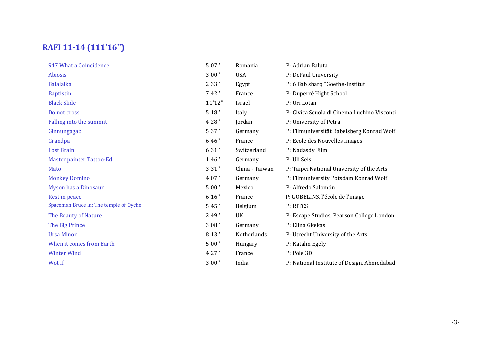## **RAFI 11-14 (111'16'')**

| 947 What a Coincidence                 | 5'07'' | Romania        | P: Adrian Baluta                            |
|----------------------------------------|--------|----------------|---------------------------------------------|
| Abiosis                                | 3'00"  | <b>USA</b>     | P: DePaul University                        |
| <b>Balalaika</b>                       | 2'33"  | Egypt          | P: 6 Bab sharq "Goethe-Institut"            |
| <b>Baptistin</b>                       | 7'42'' | France         | P: Duperré Hight School                     |
| <b>Black Slide</b>                     | 11'12" | Israel         | P: Uri Lotan                                |
| Do not cross                           | 5'18'' | Italy          | P: Civica Scuola di Cinema Luchino Visconti |
| Falling into the summit                | 4'28"  | Jordan         | P: University of Petra                      |
| Ginnungagab                            | 5'37'' | Germany        | P: Filmuniversität Babelsberg Konrad Wolf   |
| Grandpa                                | 6'46'' | France         | P: Ecole des Nouvelles Images               |
| <b>Lost Brain</b>                      | 6'31'' | Switzerland    | P: Nadasdy Film                             |
| Master painter Tattoo-Ed               | 1'46'' | Germany        | P: Uli Seis                                 |
| Mato                                   | 3'31'' | China - Taiwan | P: Taipei National University of the Arts   |
| <b>Monkey Domino</b>                   | 4'07'' | Germany        | P: Filmuniversity Potsdam Konrad Wolf       |
| Myson has a Dinosaur                   | 5'00'' | Mexico         | P: Alfredo Salomón                          |
| Rest in peace                          | 6'16'' | France         | P: GOBELINS, l'école de l'image             |
| Spaceman Bruce in: The temple of Oyche | 5'45'' | Belgium        | P: RITCS                                    |
| The Beauty of Nature                   | 2'49"  | UK             | P: Escape Studios, Pearson College London   |
| The Big Prince                         | 3'08"  | Germany        | P: Elina Gkekas                             |
| <b>Ursa Minor</b>                      | 8'13'' | Netherlands    | P: Utrecht University of the Arts           |
| When it comes from Earth               | 5'00"  | Hungary        | P: Katalin Egely                            |
| <b>Winter Wind</b>                     | 4'27'' | France         | P: Pôle 3D                                  |
| Wot If                                 | 3'00"  | India          | P: National Institute of Design, Ahmedabad  |